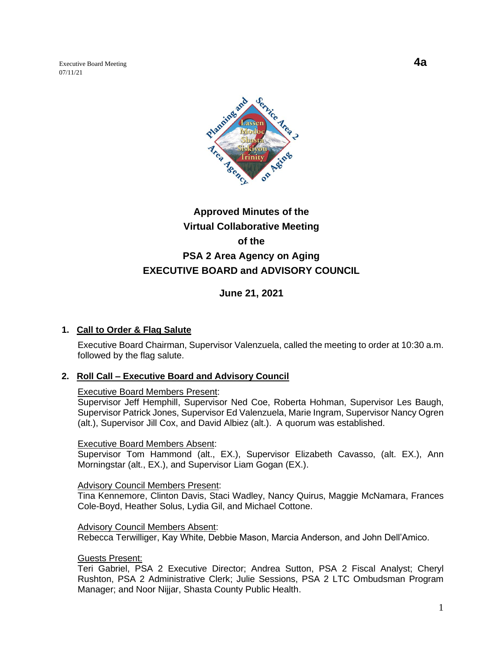Executive Board Meeting **4a** 07/11/21



# **Approved Minutes of the Virtual Collaborative Meeting of the PSA 2 Area Agency on Aging EXECUTIVE BOARD and ADVISORY COUNCIL**

**June 21, 2021**

### **1. Call to Order & Flag Salute**

Executive Board Chairman, Supervisor Valenzuela, called the meeting to order at 10:30 a.m. followed by the flag salute.

#### **2. Roll Call – Executive Board and Advisory Council**

#### Executive Board Members Present:

Supervisor Jeff Hemphill, Supervisor Ned Coe, Roberta Hohman, Supervisor Les Baugh, Supervisor Patrick Jones, Supervisor Ed Valenzuela, Marie Ingram, Supervisor Nancy Ogren (alt.), Supervisor Jill Cox, and David Albiez (alt.). A quorum was established.

#### Executive Board Members Absent:

Supervisor Tom Hammond (alt., EX.), Supervisor Elizabeth Cavasso, (alt. EX.), Ann Morningstar (alt., EX.), and Supervisor Liam Gogan (EX.).

#### Advisory Council Members Present:

Tina Kennemore, Clinton Davis, Staci Wadley, Nancy Quirus, Maggie McNamara, Frances Cole-Boyd, Heather Solus, Lydia Gil, and Michael Cottone.

#### Advisory Council Members Absent:

Rebecca Terwilliger, Kay White, Debbie Mason, Marcia Anderson, and John Dell'Amico.

### Guests Present:

Teri Gabriel, PSA 2 Executive Director; Andrea Sutton, PSA 2 Fiscal Analyst; Cheryl Rushton, PSA 2 Administrative Clerk; Julie Sessions, PSA 2 LTC Ombudsman Program Manager; and Noor Nijjar, Shasta County Public Health.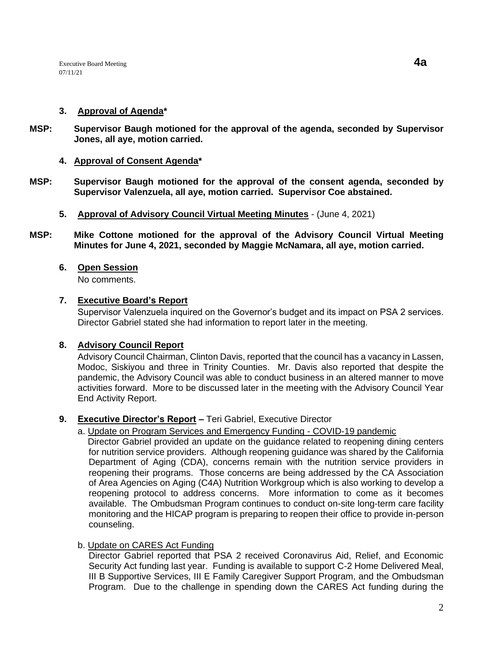### **3. Approval of Agenda\***

- **MSP: Supervisor Baugh motioned for the approval of the agenda, seconded by Supervisor Jones, all aye, motion carried.** 
	- **4. Approval of Consent Agenda\***
- **MSP: Supervisor Baugh motioned for the approval of the consent agenda, seconded by Supervisor Valenzuela, all aye, motion carried. Supervisor Coe abstained.**
	- **5. Approval of Advisory Council Virtual Meeting Minutes** (June 4, 2021)
- **MSP: Mike Cottone motioned for the approval of the Advisory Council Virtual Meeting Minutes for June 4, 2021, seconded by Maggie McNamara, all aye, motion carried.**

## **6. Open Session**

No comments.

### **7. Executive Board's Report**

Supervisor Valenzuela inquired on the Governor's budget and its impact on PSA 2 services. Director Gabriel stated she had information to report later in the meeting.

# **8. Advisory Council Report**

Advisory Council Chairman, Clinton Davis, reported that the council has a vacancy in Lassen, Modoc, Siskiyou and three in Trinity Counties. Mr. Davis also reported that despite the pandemic, the Advisory Council was able to conduct business in an altered manner to move activities forward. More to be discussed later in the meeting with the Advisory Council Year End Activity Report.

# **9. Executive Director's Report –** Teri Gabriel, Executive Director

### a. Update on Program Services and Emergency Funding - COVID-19 pandemic

 Director Gabriel provided an update on the guidance related to reopening dining centers for nutrition service providers. Although reopening guidance was shared by the California Department of Aging (CDA), concerns remain with the nutrition service providers in reopening their programs. Those concerns are being addressed by the CA Association of Area Agencies on Aging (C4A) Nutrition Workgroup which is also working to develop a reopening protocol to address concerns. More information to come as it becomes available. The Ombudsman Program continues to conduct on-site long-term care facility monitoring and the HICAP program is preparing to reopen their office to provide in-person counseling.

### b. Update on CARES Act Funding

Director Gabriel reported that PSA 2 received Coronavirus Aid, Relief, and Economic Security Act funding last year. Funding is available to support C-2 Home Delivered Meal, III B Supportive Services, III E Family Caregiver Support Program, and the Ombudsman Program. Due to the challenge in spending down the CARES Act funding during the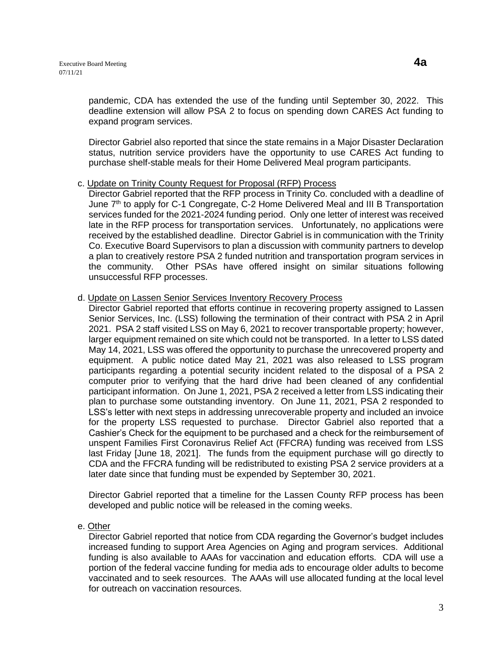pandemic, CDA has extended the use of the funding until September 30, 2022. This deadline extension will allow PSA 2 to focus on spending down CARES Act funding to expand program services.

Director Gabriel also reported that since the state remains in a Major Disaster Declaration status, nutrition service providers have the opportunity to use CARES Act funding to purchase shelf-stable meals for their Home Delivered Meal program participants.

#### c. Update on Trinity County Request for Proposal (RFP) Process

Director Gabriel reported that the RFP process in Trinity Co. concluded with a deadline of June 7<sup>th</sup> to apply for C-1 Congregate, C-2 Home Delivered Meal and III B Transportation services funded for the 2021-2024 funding period. Only one letter of interest was received late in the RFP process for transportation services. Unfortunately, no applications were received by the established deadline. Director Gabriel is in communication with the Trinity Co. Executive Board Supervisors to plan a discussion with community partners to develop a plan to creatively restore PSA 2 funded nutrition and transportation program services in the community. Other PSAs have offered insight on similar situations following unsuccessful RFP processes.

### d. Update on Lassen Senior Services Inventory Recovery Process

Director Gabriel reported that efforts continue in recovering property assigned to Lassen Senior Services, Inc. (LSS) following the termination of their contract with PSA 2 in April 2021. PSA 2 staff visited LSS on May 6, 2021 to recover transportable property; however, larger equipment remained on site which could not be transported. In a letter to LSS dated May 14, 2021, LSS was offered the opportunity to purchase the unrecovered property and equipment. A public notice dated May 21, 2021 was also released to LSS program participants regarding a potential security incident related to the disposal of a PSA 2 computer prior to verifying that the hard drive had been cleaned of any confidential participant information. On June 1, 2021, PSA 2 received a letter from LSS indicating their plan to purchase some outstanding inventory. On June 11, 2021, PSA 2 responded to LSS's letter with next steps in addressing unrecoverable property and included an invoice for the property LSS requested to purchase. Director Gabriel also reported that a Cashier's Check for the equipment to be purchased and a check for the reimbursement of unspent Families First Coronavirus Relief Act (FFCRA) funding was received from LSS last Friday [June 18, 2021]. The funds from the equipment purchase will go directly to CDA and the FFCRA funding will be redistributed to existing PSA 2 service providers at a later date since that funding must be expended by September 30, 2021.

Director Gabriel reported that a timeline for the Lassen County RFP process has been developed and public notice will be released in the coming weeks.

#### e. Other

Director Gabriel reported that notice from CDA regarding the Governor's budget includes increased funding to support Area Agencies on Aging and program services. Additional funding is also available to AAAs for vaccination and education efforts. CDA will use a portion of the federal vaccine funding for media ads to encourage older adults to become vaccinated and to seek resources. The AAAs will use allocated funding at the local level for outreach on vaccination resources.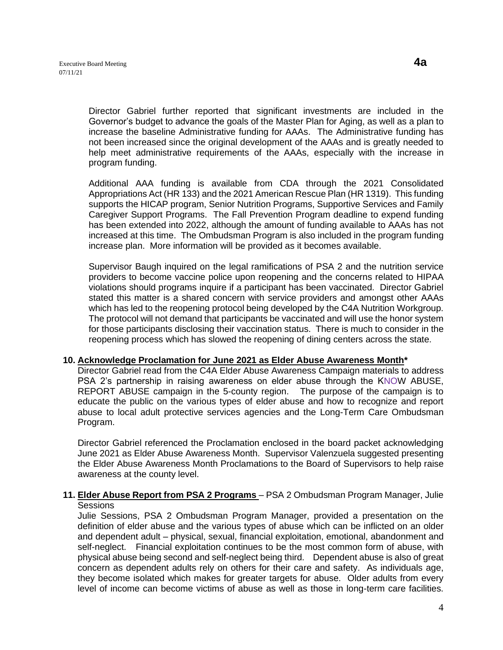Director Gabriel further reported that significant investments are included in the Governor's budget to advance the goals of the Master Plan for Aging, as well as a plan to increase the baseline Administrative funding for AAAs. The Administrative funding has not been increased since the original development of the AAAs and is greatly needed to help meet administrative requirements of the AAAs, especially with the increase in program funding.

Additional AAA funding is available from CDA through the 2021 Consolidated Appropriations Act (HR 133) and the 2021 American Rescue Plan (HR 1319). This funding supports the HICAP program, Senior Nutrition Programs, Supportive Services and Family Caregiver Support Programs. The Fall Prevention Program deadline to expend funding has been extended into 2022, although the amount of funding available to AAAs has not increased at this time. The Ombudsman Program is also included in the program funding increase plan. More information will be provided as it becomes available.

Supervisor Baugh inquired on the legal ramifications of PSA 2 and the nutrition service providers to become vaccine police upon reopening and the concerns related to HIPAA violations should programs inquire if a participant has been vaccinated. Director Gabriel stated this matter is a shared concern with service providers and amongst other AAAs which has led to the reopening protocol being developed by the C4A Nutrition Workgroup. The protocol will not demand that participants be vaccinated and will use the honor system for those participants disclosing their vaccination status. There is much to consider in the reopening process which has slowed the reopening of dining centers across the state.

#### **10. Acknowledge Proclamation for June 2021 as Elder Abuse Awareness Month\***

Director Gabriel read from the C4A Elder Abuse Awareness Campaign materials to address PSA 2's partnership in raising awareness on elder abuse through the KNOW ABUSE, REPORT ABUSE campaign in the 5-county region. The purpose of the campaign is to educate the public on the various types of elder abuse and how to recognize and report abuse to local adult protective services agencies and the Long-Term Care Ombudsman Program.

Director Gabriel referenced the Proclamation enclosed in the board packet acknowledging June 2021 as Elder Abuse Awareness Month. Supervisor Valenzuela suggested presenting the Elder Abuse Awareness Month Proclamations to the Board of Supervisors to help raise awareness at the county level.

### **11. Elder Abuse Report from PSA 2 Programs** – PSA 2 Ombudsman Program Manager, Julie Sessions

Julie Sessions, PSA 2 Ombudsman Program Manager, provided a presentation on the definition of elder abuse and the various types of abuse which can be inflicted on an older and dependent adult – physical, sexual, financial exploitation, emotional, abandonment and self-neglect. Financial exploitation continues to be the most common form of abuse, with physical abuse being second and self-neglect being third. Dependent abuse is also of great concern as dependent adults rely on others for their care and safety. As individuals age, they become isolated which makes for greater targets for abuse. Older adults from every level of income can become victims of abuse as well as those in long-term care facilities.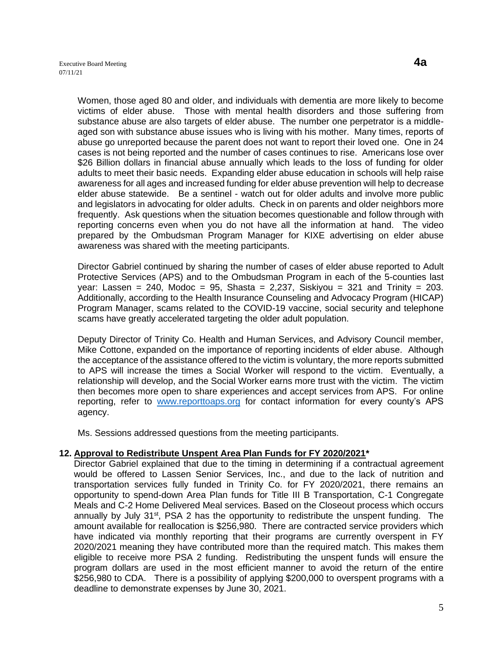Women, those aged 80 and older, and individuals with dementia are more likely to become victims of elder abuse. Those with mental health disorders and those suffering from substance abuse are also targets of elder abuse. The number one perpetrator is a middleaged son with substance abuse issues who is living with his mother. Many times, reports of abuse go unreported because the parent does not want to report their loved one. One in 24 cases is not being reported and the number of cases continues to rise. Americans lose over \$26 Billion dollars in financial abuse annually which leads to the loss of funding for older adults to meet their basic needs. Expanding elder abuse education in schools will help raise awareness for all ages and increased funding for elder abuse prevention will help to decrease elder abuse statewide. Be a sentinel - watch out for older adults and involve more public and legislators in advocating for older adults. Check in on parents and older neighbors more frequently. Ask questions when the situation becomes questionable and follow through with reporting concerns even when you do not have all the information at hand. The video prepared by the Ombudsman Program Manager for KIXE advertising on elder abuse awareness was shared with the meeting participants.

Director Gabriel continued by sharing the number of cases of elder abuse reported to Adult Protective Services (APS) and to the Ombudsman Program in each of the 5-counties last year: Lassen = 240, Modoc = 95, Shasta = 2,237, Siskiyou = 321 and Trinity = 203. Additionally, according to the Health Insurance Counseling and Advocacy Program (HICAP) Program Manager, scams related to the COVID-19 vaccine, social security and telephone scams have greatly accelerated targeting the older adult population.

Deputy Director of Trinity Co. Health and Human Services, and Advisory Council member, Mike Cottone, expanded on the importance of reporting incidents of elder abuse. Although the acceptance of the assistance offered to the victim is voluntary, the more reports submitted to APS will increase the times a Social Worker will respond to the victim. Eventually, a relationship will develop, and the Social Worker earns more trust with the victim. The victim then becomes more open to share experiences and accept services from APS. For online reporting, refer to [www.reporttoaps.org](http://www.reporttoaps.org/) for contact information for every county's APS agency.

Ms. Sessions addressed questions from the meeting participants.

#### **12. Approval to Redistribute Unspent Area Plan Funds for FY 2020/2021\***

Director Gabriel explained that due to the timing in determining if a contractual agreement would be offered to Lassen Senior Services, Inc., and due to the lack of nutrition and transportation services fully funded in Trinity Co. for FY 2020/2021, there remains an opportunity to spend-down Area Plan funds for Title III B Transportation, C-1 Congregate Meals and C-2 Home Delivered Meal services. Based on the Closeout process which occurs annually by July 31<sup>st</sup>, PSA 2 has the opportunity to redistribute the unspent funding. The amount available for reallocation is \$256,980. There are contracted service providers which have indicated via monthly reporting that their programs are currently overspent in FY 2020/2021 meaning they have contributed more than the required match. This makes them eligible to receive more PSA 2 funding. Redistributing the unspent funds will ensure the program dollars are used in the most efficient manner to avoid the return of the entire \$256,980 to CDA. There is a possibility of applying \$200,000 to overspent programs with a deadline to demonstrate expenses by June 30, 2021.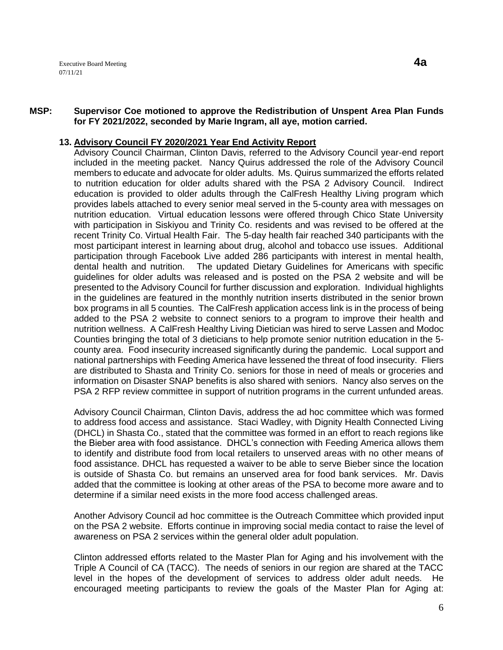#### **MSP: Supervisor Coe motioned to approve the Redistribution of Unspent Area Plan Funds for FY 2021/2022, seconded by Marie Ingram, all aye, motion carried.**

### **13. Advisory Council FY 2020/2021 Year End Activity Report**

Advisory Council Chairman, Clinton Davis, referred to the Advisory Council year-end report included in the meeting packet. Nancy Quirus addressed the role of the Advisory Council members to educate and advocate for older adults. Ms. Quirus summarized the efforts related to nutrition education for older adults shared with the PSA 2 Advisory Council. Indirect education is provided to older adults through the CalFresh Healthy Living program which provides labels attached to every senior meal served in the 5-county area with messages on nutrition education. Virtual education lessons were offered through Chico State University with participation in Siskiyou and Trinity Co. residents and was revised to be offered at the recent Trinity Co. Virtual Health Fair. The 5-day health fair reached 340 participants with the most participant interest in learning about drug, alcohol and tobacco use issues. Additional participation through Facebook Live added 286 participants with interest in mental health, dental health and nutrition. The updated Dietary Guidelines for Americans with specific guidelines for older adults was released and is posted on the PSA 2 website and will be presented to the Advisory Council for further discussion and exploration. Individual highlights in the guidelines are featured in the monthly nutrition inserts distributed in the senior brown box programs in all 5 counties. The CalFresh application access link is in the process of being added to the PSA 2 website to connect seniors to a program to improve their health and nutrition wellness. A CalFresh Healthy Living Dietician was hired to serve Lassen and Modoc Counties bringing the total of 3 dieticians to help promote senior nutrition education in the 5 county area. Food insecurity increased significantly during the pandemic. Local support and national partnerships with Feeding America have lessened the threat of food insecurity. Fliers are distributed to Shasta and Trinity Co. seniors for those in need of meals or groceries and information on Disaster SNAP benefits is also shared with seniors. Nancy also serves on the PSA 2 RFP review committee in support of nutrition programs in the current unfunded areas.

Advisory Council Chairman, Clinton Davis, address the ad hoc committee which was formed to address food access and assistance. Staci Wadley, with Dignity Health Connected Living (DHCL) in Shasta Co., stated that the committee was formed in an effort to reach regions like the Bieber area with food assistance. DHCL's connection with Feeding America allows them to identify and distribute food from local retailers to unserved areas with no other means of food assistance. DHCL has requested a waiver to be able to serve Bieber since the location is outside of Shasta Co. but remains an unserved area for food bank services. Mr. Davis added that the committee is looking at other areas of the PSA to become more aware and to determine if a similar need exists in the more food access challenged areas.

Another Advisory Council ad hoc committee is the Outreach Committee which provided input on the PSA 2 website. Efforts continue in improving social media contact to raise the level of awareness on PSA 2 services within the general older adult population.

Clinton addressed efforts related to the Master Plan for Aging and his involvement with the Triple A Council of CA (TACC). The needs of seniors in our region are shared at the TACC level in the hopes of the development of services to address older adult needs. He encouraged meeting participants to review the goals of the Master Plan for Aging at: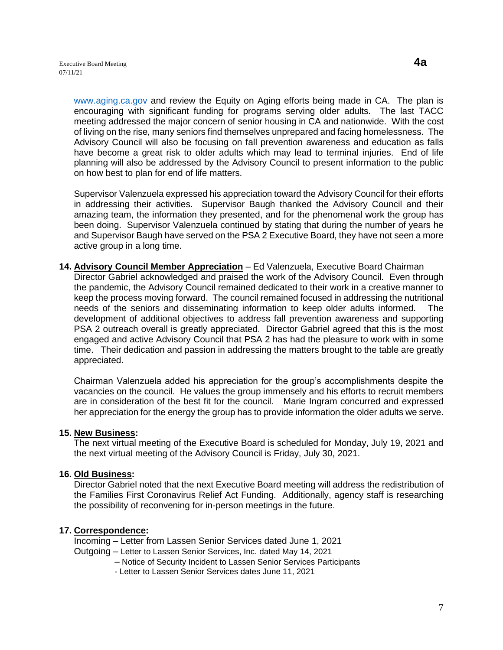[www.aging.ca.gov](http://www.aging.ca.gov/) and review the Equity on Aging efforts being made in CA. The plan is encouraging with significant funding for programs serving older adults. The last TACC meeting addressed the major concern of senior housing in CA and nationwide. With the cost of living on the rise, many seniors find themselves unprepared and facing homelessness. The Advisory Council will also be focusing on fall prevention awareness and education as falls have become a great risk to older adults which may lead to terminal injuries. End of life planning will also be addressed by the Advisory Council to present information to the public on how best to plan for end of life matters.

Supervisor Valenzuela expressed his appreciation toward the Advisory Council for their efforts in addressing their activities. Supervisor Baugh thanked the Advisory Council and their amazing team, the information they presented, and for the phenomenal work the group has been doing. Supervisor Valenzuela continued by stating that during the number of years he and Supervisor Baugh have served on the PSA 2 Executive Board, they have not seen a more active group in a long time.

**14. Advisory Council Member Appreciation** – Ed Valenzuela, Executive Board Chairman Director Gabriel acknowledged and praised the work of the Advisory Council. Even through the pandemic, the Advisory Council remained dedicated to their work in a creative manner to keep the process moving forward. The council remained focused in addressing the nutritional needs of the seniors and disseminating information to keep older adults informed. The development of additional objectives to address fall prevention awareness and supporting PSA 2 outreach overall is greatly appreciated. Director Gabriel agreed that this is the most engaged and active Advisory Council that PSA 2 has had the pleasure to work with in some time. Their dedication and passion in addressing the matters brought to the table are greatly appreciated.

Chairman Valenzuela added his appreciation for the group's accomplishments despite the vacancies on the council. He values the group immensely and his efforts to recruit members are in consideration of the best fit for the council. Marie Ingram concurred and expressed her appreciation for the energy the group has to provide information the older adults we serve.

### **15. New Business:**

The next virtual meeting of the Executive Board is scheduled for Monday, July 19, 2021 and the next virtual meeting of the Advisory Council is Friday, July 30, 2021.

#### **16. Old Business:**

Director Gabriel noted that the next Executive Board meeting will address the redistribution of the Families First Coronavirus Relief Act Funding. Additionally, agency staff is researching the possibility of reconvening for in-person meetings in the future.

### **17. Correspondence:**

Incoming – Letter from Lassen Senior Services dated June 1, 2021 Outgoing – Letter to Lassen Senior Services, Inc. dated May 14, 2021

– Notice of Security Incident to Lassen Senior Services Participants

- Letter to Lassen Senior Services dates June 11, 2021